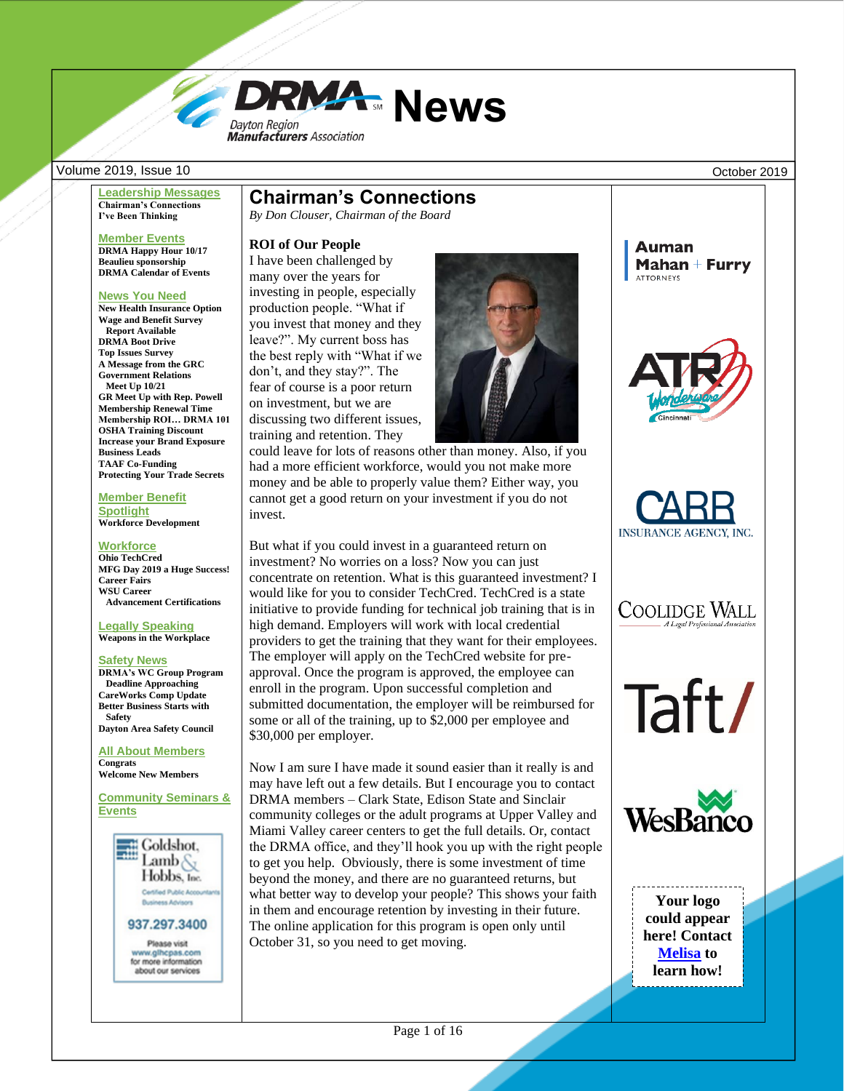

<span id="page-0-0"></span>**[Leadership Messages](#page-0-0) Chairman's Connections I've Been Thinking**

**[Member Events](#page-2-0) DRMA Happy Hour 10/17 Beaulieu sponsorship DRMA Calendar of Events**

#### **[News You Need](#page-3-0)**

**New Health Insurance Option Wage and Benefit Survey Report Available DRMA Boot Drive Top Issues Survey A Message from the GRC Government Relations Meet Up 10/21 GR Meet Up with Rep. Powell Membership Renewal Time Membership ROI… DRMA 101 OSHA Training Discount Increase your Brand Exposure Business Leads TAAF Co-Funding Protecting Your Trade Secrets**

**[Member Benefit](#page-8-0)  [Spotlight](#page-8-0) Workforce Development**

**Workforce Ohio TechCred MFG Day 2019 a Huge Success! Career Fairs WSU Career Advancement Certifications**

**Legally Speaking Weapons in the Workplace**

**Safety News DRMA's WC Group Program**

 **Deadline Approaching CareWorks Comp Update Better Business Starts with Safety Dayton Area Safety Council**

**[All About Members](#page-15-0) Congrats Welcome New Members**

**[Community Seminars](#page-15-1) & [Events](#page-15-1)**



### **[Chairman's Connections](#page-0-0)**

*By Don Clouser, Chairman of the Board*

#### **ROI of Our People**

I have been challenged by many over the years for investing in people, especially production people. "What if you invest that money and they leave?". My current boss has the best reply with "What if we don't, and they stay?". The fear of course is a poor return on investment, but we are discussing two different issues, training and retention. They



could leave for lots of reasons other than money. Also, if you had a more efficient workforce, would you not make more money and be able to properly value them? Either way, you cannot get a good return on your investment if you do not invest.

But what if you could invest in a guaranteed return on investment? No worries on a loss? Now you can just concentrate on retention. What is this guaranteed investment? I would like for you to consider TechCred. TechCred is a state initiative to provide funding for technical job training that is in high demand. Employers will work with local credential providers to get the training that they want for their employees. The employer will apply on the TechCred website for preapproval. Once the program is approved, the employee can enroll in the program. Upon successful completion and submitted documentation, the employer will be reimbursed for some or all of the training, up to \$2,000 per employee and \$30,000 per employer.

Now I am sure I have made it sound easier than it really is and may have left out a few details. But I encourage you to contact DRMA members – Clark State, Edison State and Sinclair community colleges or the adult programs at Upper Valley and Miami Valley career centers to get the full details. Or, contact the DRMA office, and they'll hook you up with the right people to get you help. Obviously, there is some investment of time beyond the money, and there are no guaranteed returns, but what better way to develop your people? This shows your faith in them and encourage retention by investing in their future. The online application for this program is open only until October 31, so you need to get moving.

Auman Mahan + Furry **ATTORNEYS** 











**Your logo could appear here! Contact [Melisa](mailto:mwhitehead@daytonrma.org) to learn how!**

Page 1 of 16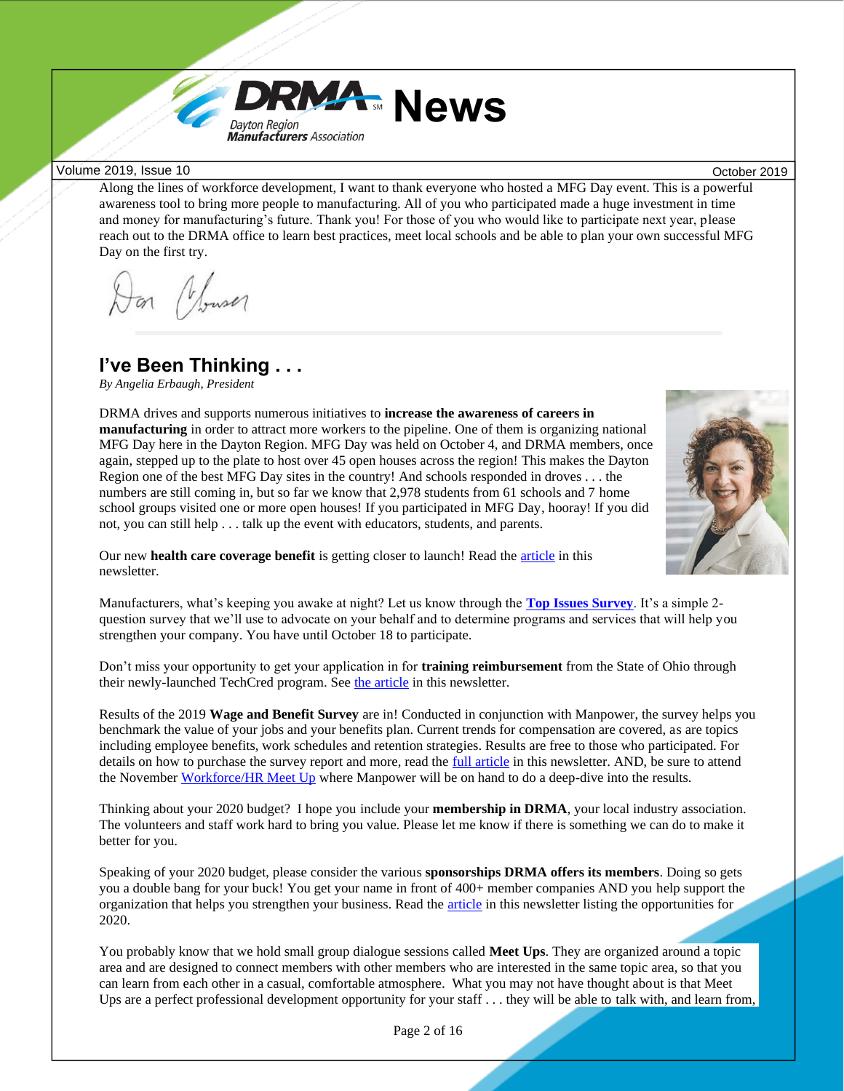

Along the lines of workforce development, I want to thank everyone who hosted a MFG Day event. This is a powerful awareness tool to bring more people to manufacturing. All of you who participated made a huge investment in time and money for manufacturing's future. Thank you! For those of you who would like to participate next year, please reach out to the DRMA office to learn best practices, meet local schools and be able to plan your own successful MFG Day on the first try.

on *Mouser* 

**I've Been Thinking . . .** 

*By Angelia Erbaugh, President*

DRMA drives and supports numerous initiatives to **increase the awareness of careers in manufacturing** in order to attract more workers to the pipeline. One of them is organizing national MFG Day here in the Dayton Region. MFG Day was held on October 4, and DRMA members, once again, stepped up to the plate to host over 45 open houses across the region! This makes the Dayton Region one of the best MFG Day sites in the country! And schools responded in droves . . . the numbers are still coming in, but so far we know that 2,978 students from 61 schools and 7 home school groups visited one or more open houses! If you participated in MFG Day, hooray! If you did not, you can still help . . . talk up the event with educators, students, and parents.



Our new **health care coverage benefit** is getting closer to launch! Read th[e article](#page-3-1) in this newsletter.

Manufacturers, what's keeping you awake at night? Let us know through the **[Top Issues Survey](#page-5-0)**. It's a simple 2 question survey that we'll use to advocate on your behalf and to determine programs and services that will help you strengthen your company. You have until October 18 to participate.

Don't miss your opportunity to get your application in for **training reimbursement** from the State of Ohio through their newly-launched TechCred program. See [the article](#page-10-0) in this newsletter.

Results of the 2019 **Wage and Benefit Survey** are in! Conducted in conjunction with Manpower, the survey helps you benchmark the value of your jobs and your benefits plan. Current trends for compensation are covered, as are topics including employee benefits, work schedules and retention strategies. Results are free to those who participated. For details on how to purchase the survey report and more, read the [full article](#page-3-2) in this newsletter. AND, be sure to attend the November [Workforce/HR Meet Up](https://www.daytonrma.org/nov-26-meet-up-workforce-hr) where Manpower will be on hand to do a deep-dive into the results.

Thinking about your 2020 budget? I hope you include your **membership in DRMA**, your local industry association. The volunteers and staff work hard to bring you value. Please let me know if there is something we can do to make it better for you.

Speaking of your 2020 budget, please consider the various **sponsorships DRMA offers its members**. Doing so gets you a double bang for your buck! You get your name in front of 400+ member companies AND you help support the organization that helps you strengthen your business. Read th[e article](#page-6-0) in this newsletter listing the opportunities for 2020.

You probably know that we hold small group dialogue sessions called **Meet Ups**. They are organized around a topic area and are designed to connect members with other members who are interested in the same topic area, so that you can learn from each other in a casual, comfortable atmosphere. What you may not have thought about is that Meet Ups are a perfect professional development opportunity for your staff . . . they will be able to talk with, and learn from,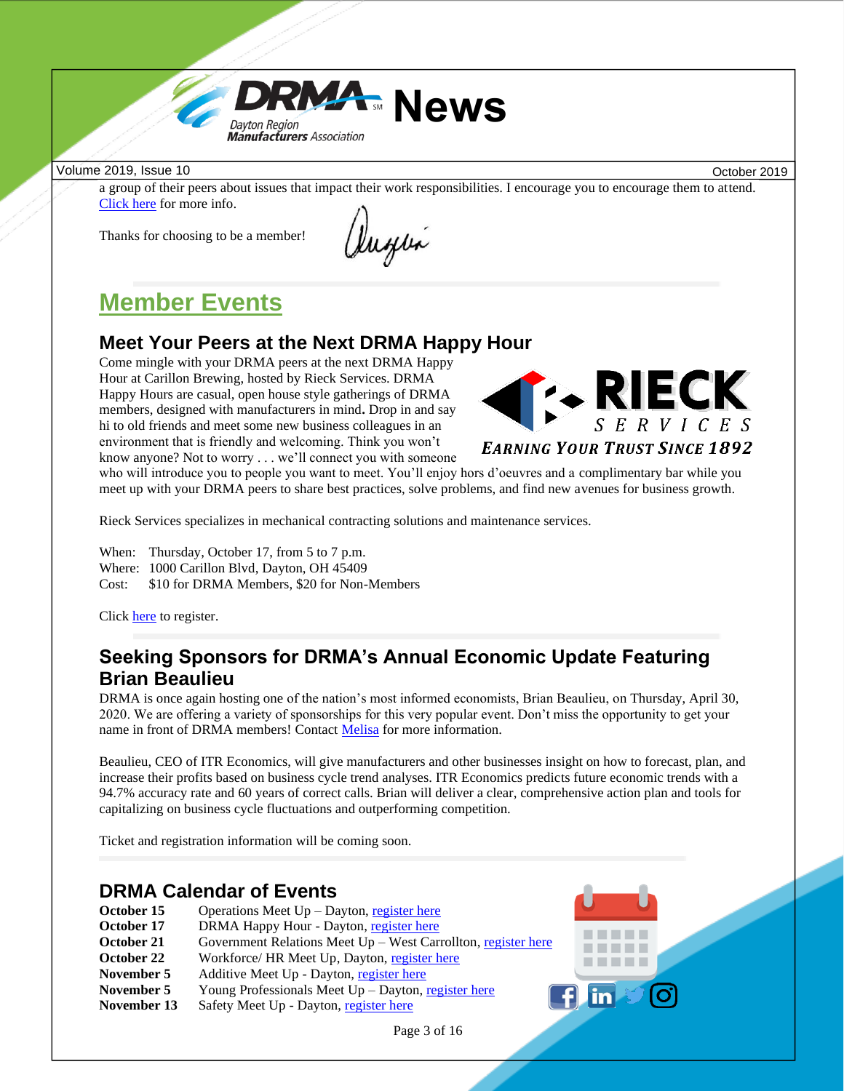

a group of their peers about issues that impact their work responsibilities. I encourage you to encourage them to attend. [Click here](https://www.daytonrma.org/educate) for more info.

Thanks for choosing to be a member!

augui

# <span id="page-2-0"></span>**Member Events**

### **Meet Your Peers at the Next DRMA Happy Hour**

Come mingle with your DRMA peers at the next DRMA Happy Hour at Carillon Brewing, hosted by Rieck Services. DRMA Happy Hours are casual, open house style gatherings of DRMA members, designed with manufacturers in mind**.** Drop in and say hi to old friends and meet some new business colleagues in an environment that is friendly and welcoming. Think you won't know anyone? Not to worry . . . we'll connect you with someone



who will introduce you to people you want to meet. You'll enjoy hors d'oeuvres and a complimentary bar while you meet up with your DRMA peers to share best practices, solve problems, and find new avenues for business growth.

Rieck Services specializes in mechanical contracting solutions and maintenance services.

When: Thursday, October 17, from 5 to 7 p.m.

Where: 1000 Carillon Blvd, Dayton, OH 45409

Cost: \$10 for DRMA Members, \$20 for Non-Members

Click [here](https://www.daytonrma.org/1017-drma-happy-hour) to register.

### **Seeking Sponsors for DRMA's Annual Economic Update Featuring Brian Beaulieu**

DRMA is once again hosting one of the nation's most informed economists, Brian Beaulieu, on Thursday, April 30, 2020. We are offering a variety of sponsorships for this very popular event. Don't miss the opportunity to get your name in front of DRMA members! Contact [Melisa](mailto:mwhitehead@daytonrma.org) for more information.

Beaulieu, CEO of ITR Economics, will give manufacturers and other businesses insight on how to forecast, plan, and increase their profits based on business cycle trend analyses. ITR Economics predicts future economic trends with a 94.7% accuracy rate and 60 years of correct calls. Brian will deliver a clear, comprehensive action plan and tools for capitalizing on business cycle fluctuations and outperforming competition.

Ticket and registration information will be coming soon.

### **DRMA Calendar of Events**

| October 15  | Operations Meet $Up$ – Dayton, register here                    |  |
|-------------|-----------------------------------------------------------------|--|
| October 17  | DRMA Happy Hour - Dayton, register here                         |  |
| October 21  | Government Relations Meet $Up$ – West Carrollton, register here |  |
| October 22  | Workforce/ HR Meet Up, Dayton, register here                    |  |
| November 5  | Additive Meet Up - Dayton, register here                        |  |
| November 5  | Young Professionals Meet Up - Dayton, register here             |  |
| November 13 | Safety Meet Up - Dayton, register here                          |  |



Page 3 of 16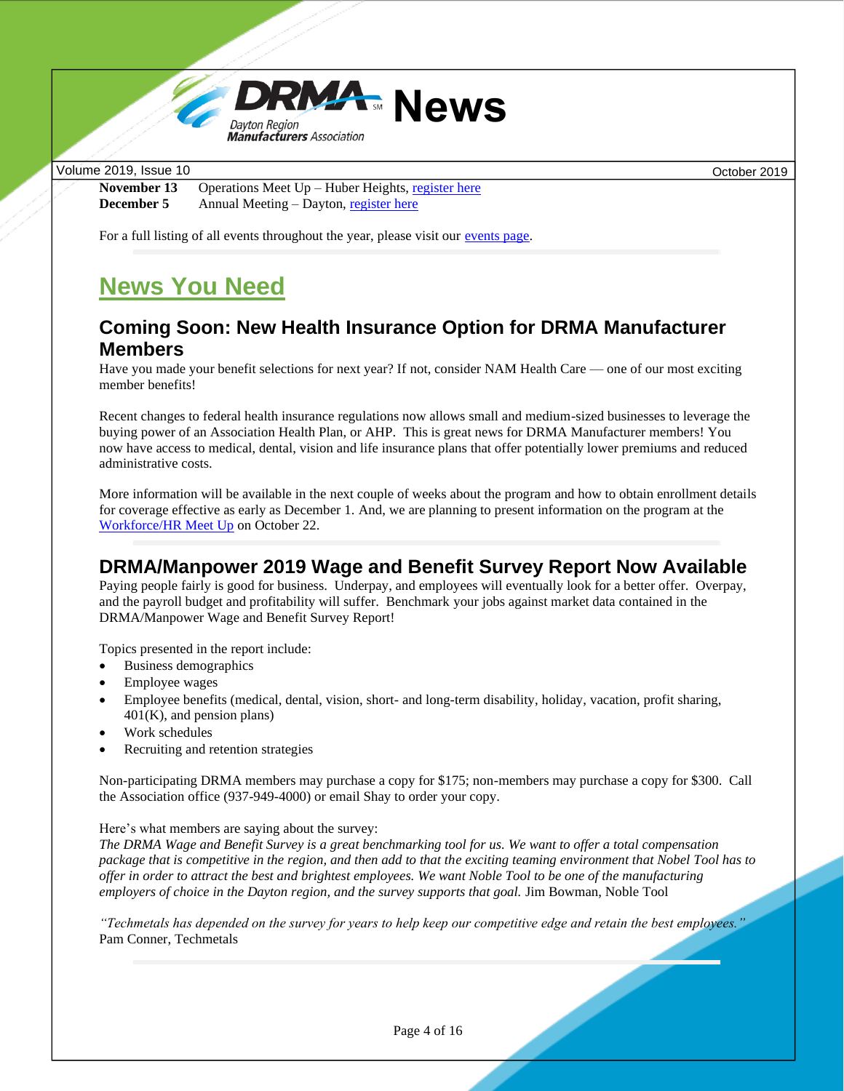

**November 13** Operations Meet Up – Huber Heights, [register here](https://www.daytonrma.org/nov-19-meet-up-operations) **December 5** Annual Meeting – Dayton[, register here](https://www.daytonrma.org/dec-5-drma-annual-meeting)

For a full listing of all events throughout the year, please visit our [events page.](http://www.daytonrma.org/events/event_list.asp)

# **News You Need**

### <span id="page-3-1"></span>**Coming Soon: New Health Insurance Option for DRMA Manufacturer Members**

Have you made your benefit selections for next year? If not, consider NAM Health Care — one of our most exciting member benefits!

Recent changes to federal health insurance regulations now allows small and medium-sized businesses to leverage the buying power of an Association Health Plan, or AHP. This is great news for DRMA Manufacturer members! You now have access to medical, dental, vision and life insurance plans that offer potentially lower premiums and reduced administrative costs.

More information will be available in the next couple of weeks about the program and how to obtain enrollment details for coverage effective as early as December 1. And, we are planning to present information on the program at the [Workforce/HR Meet Up](https://www.daytonrma.org/oct-22-meet-up-workforce-hr) on October 22.

### <span id="page-3-2"></span>**DRMA/Manpower 2019 Wage and Benefit Survey Report Now Available**

Paying people fairly is good for business. Underpay, and employees will eventually look for a better offer. Overpay, and the payroll budget and profitability will suffer. Benchmark your jobs against market data contained in the DRMA/Manpower Wage and Benefit Survey Report!

Topics presented in the report include:

- Business demographics
- Employee wages
- Employee benefits (medical, dental, vision, short- and long-term disability, holiday, vacation, profit sharing,  $401(K)$ , and pension plans)
- Work schedules
- Recruiting and retention strategies

Non-participating DRMA members may purchase a copy for \$175; non-members may purchase a copy for \$300. Call the Association office (937-949-4000) or email Shay to order your copy.

#### Here's what members are saying about the survey:

*The DRMA Wage and Benefit Survey is a great benchmarking tool for us. We want to offer a total compensation package that is competitive in the region, and then add to that the exciting teaming environment that Nobel Tool has to offer in order to attract the best and brightest employees. We want Noble Tool to be one of the manufacturing employers of choice in the Dayton region, and the survey supports that goal.* Jim Bowman, Noble Tool

*"Techmetals has depended on the survey for years to help keep our competitive edge and retain the best employees."*  Pam Conner, Techmetals

Page 4 of 16

<span id="page-3-0"></span>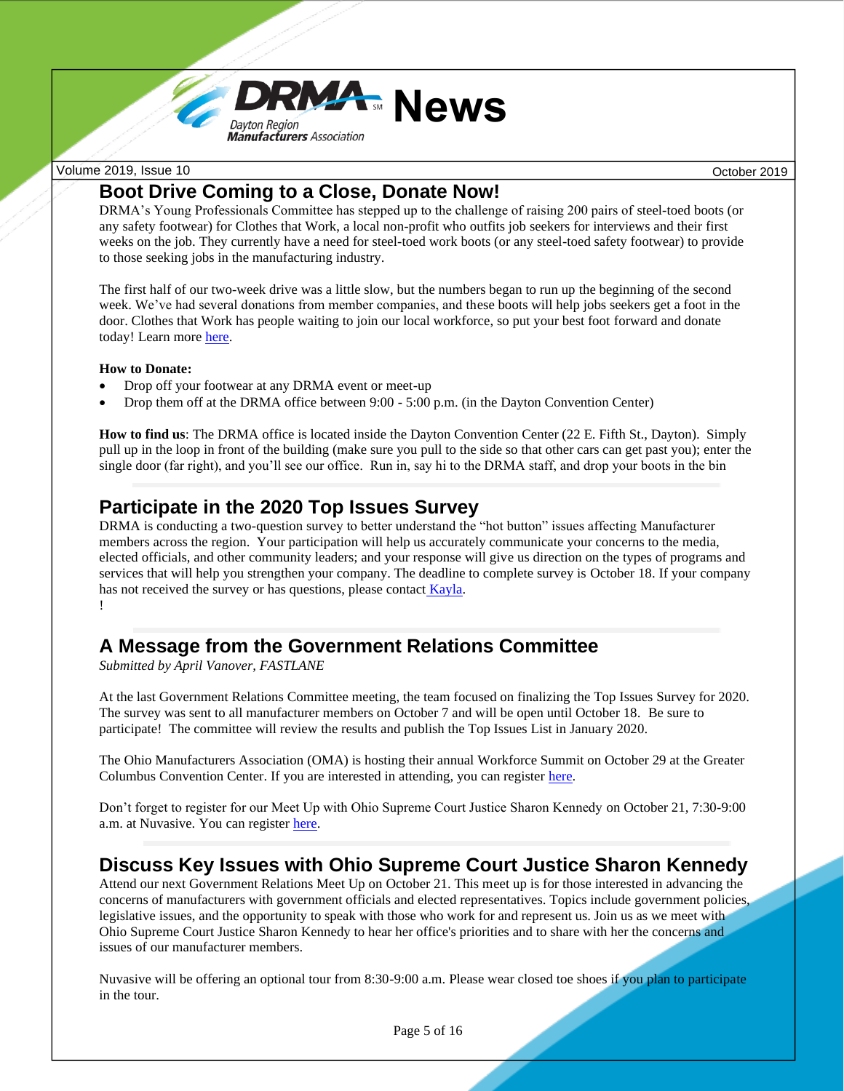

### **Boot Drive Coming to a Close, Donate Now!**

DRMA's Young Professionals Committee has stepped up to the challenge of raising 200 pairs of steel-toed boots (or any safety footwear) for Clothes that Work, a local non-profit who outfits job seekers for interviews and their first weeks on the job. They currently have a need for steel-toed work boots (or any steel-toed safety footwear) to provide to those seeking jobs in the manufacturing industry.

The first half of our two-week drive was a little slow, but the numbers began to run up the beginning of the second week. We've had several donations from member companies, and these boots will help jobs seekers get a foot in the door. Clothes that Work has people waiting to join our local workforce, so put your best foot forward and donate today! Learn more [here.](https://www.daytonrma.org/post/drma-gives-back-with-a-boot-drive)

#### **How to Donate:**

- Drop off your footwear at any DRMA event or meet-up
- Drop them off at the DRMA office between 9:00 5:00 p.m. (in the Dayton Convention Center)

**How to find us**: The DRMA office is located inside the Dayton Convention Center (22 E. Fifth St., Dayton). Simply pull up in the loop in front of the building (make sure you pull to the side so that other cars can get past you); enter the single door (far right), and you'll see our office. Run in, say hi to the DRMA staff, and drop your boots in the bin

### **Participate in the 2020 Top Issues Survey**

DRMA is conducting a two-question survey to better understand the "hot button" issues affecting Manufacturer members across the region. Your participation will help us accurately communicate your concerns to the media, elected officials, and other community leaders; and your response will give us direction on the types of programs and services that will help you strengthen your company. The deadline to complete survey is October 18. If your company has not received the survey or has questions, please contact [Kayla.](mailto:kmanuel@daytonrma.org?subject=Top%20Issues) !

### **A Message from the Government Relations Committee**

*Submitted by April Vanover, FASTLANE*

At the last Government Relations Committee meeting, the team focused on finalizing the Top Issues Survey for 2020. The survey was sent to all manufacturer members on October 7 and will be open until October 18. Be sure to participate! The committee will review the results and publish the Top Issues List in January 2020.

The Ohio Manufacturers Association (OMA) is hosting their annual Workforce Summit on October 29 at the Greater Columbus Convention Center. If you are interested in attending, you can register [here.](https://myoma.ohiomfg.com/Workforce/Home/Workforce/Home.aspx?hkey=f35ee362-42fb-4e3b-adac-0c46858f7005&WebsiteKey=10580b13-ccf3-480e-9025-bfd570941b5c)

Don't forget to register for our Meet Up with Ohio Supreme Court Justice Sharon Kennedy on October 21, 7:30-9:00 a.m. at Nuvasive. You can register [here.](https://www.daytonrma.org/oct-21-gov-meet-up)

### **Discuss Key Issues with Ohio Supreme Court Justice Sharon Kennedy**

Attend our next Government Relations Meet Up on October 21. This meet up is for those interested in advancing the concerns of manufacturers with government officials and elected representatives. Topics include government policies, legislative issues, and the opportunity to speak with those who work for and represent us. Join us as we meet with Ohio Supreme Court Justice Sharon Kennedy to hear her office's priorities and to share with her the concerns and issues of our manufacturer members.

Nuvasive will be offering an optional tour from 8:30-9:00 a.m. Please wear closed toe shoes if you plan to participate in the tour.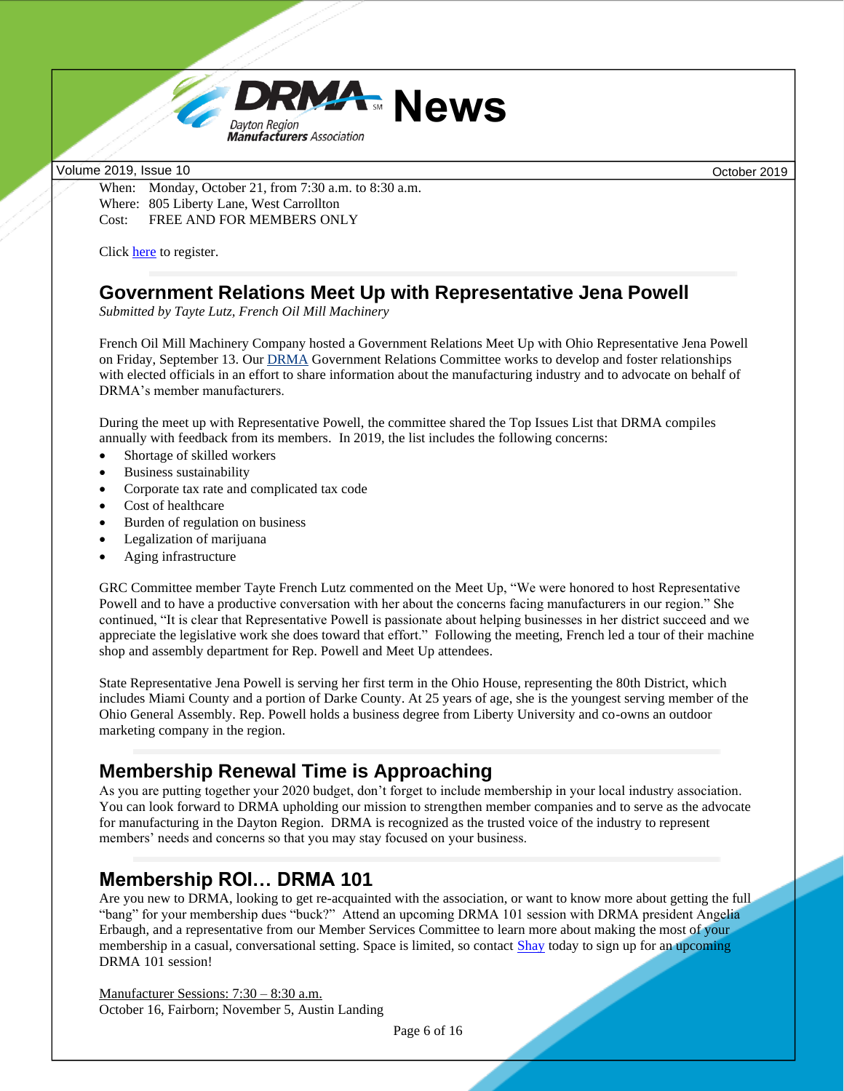

When: Monday, October 21, from 7:30 a.m. to 8:30 a.m. Where: 805 Liberty Lane, West Carrollton Cost: FREE AND FOR MEMBERS ONLY

Click [here](https://www.daytonrma.org/oct-21-gov-meet-up) to register.

### **Government Relations Meet Up with Representative Jena Powell**

*Submitted by Tayte Lutz, French Oil Mill Machinery*

French Oil Mill Machinery Company hosted a Government Relations Meet Up with Ohio Representative Jena Powell on Friday, September 13. Our [DRMA](https://www.daytonrma.org/) Government Relations Committee works to develop and foster relationships with elected officials in an effort to share information about the manufacturing industry and to advocate on behalf of DRMA's member manufacturers.

During the meet up with Representative Powell, the committee shared the Top Issues List that DRMA compiles annually with feedback from its members. In 2019, the list includes the following concerns:

- Shortage of skilled workers
- Business sustainability
- Corporate tax rate and complicated tax code
- Cost of healthcare
- Burden of regulation on business
- Legalization of marijuana
- Aging infrastructure

GRC Committee member Tayte French Lutz commented on the Meet Up, "We were honored to host Representative Powell and to have a productive conversation with her about the concerns facing manufacturers in our region." She continued, "It is clear that Representative Powell is passionate about helping businesses in her district succeed and we appreciate the legislative work she does toward that effort." Following the meeting, French led a tour of their machine shop and assembly department for Rep. Powell and Meet Up attendees.

State Representative Jena Powell is serving her first term in the Ohio House, representing the 80th District, which includes Miami County and a portion of Darke County. At 25 years of age, she is the youngest serving member of the Ohio General Assembly. Rep. Powell holds a business degree from Liberty University and co-owns an outdoor marketing company in the region.

### <span id="page-5-0"></span>**Membership Renewal Time is Approaching**

As you are putting together your 2020 budget, don't forget to include membership in your local industry association. You can look forward to DRMA upholding our mission to strengthen member companies and to serve as the advocate for manufacturing in the Dayton Region. DRMA is recognized as the trusted voice of the industry to represent members' needs and concerns so that you may stay focused on your business.

### **Membership ROI… DRMA 101**

Are you new to DRMA, looking to get re-acquainted with the association, or want to know more about getting the full "bang" for your membership dues "buck?" Attend an upcoming DRMA 101 session with DRMA president Angelia Erbaugh, and a representative from our Member Services Committee to learn more about making the most of your membership in a casual, conversational setting. Space is limited, so contact [Shay](mailto:SKnoll@DaytonRMA.org?subject=DRMA%20101) today to sign up for an upcoming DRMA 101 session!

Manufacturer Sessions: 7:30 – 8:30 a.m. October 16, Fairborn; November 5, Austin Landing

Page 6 of 16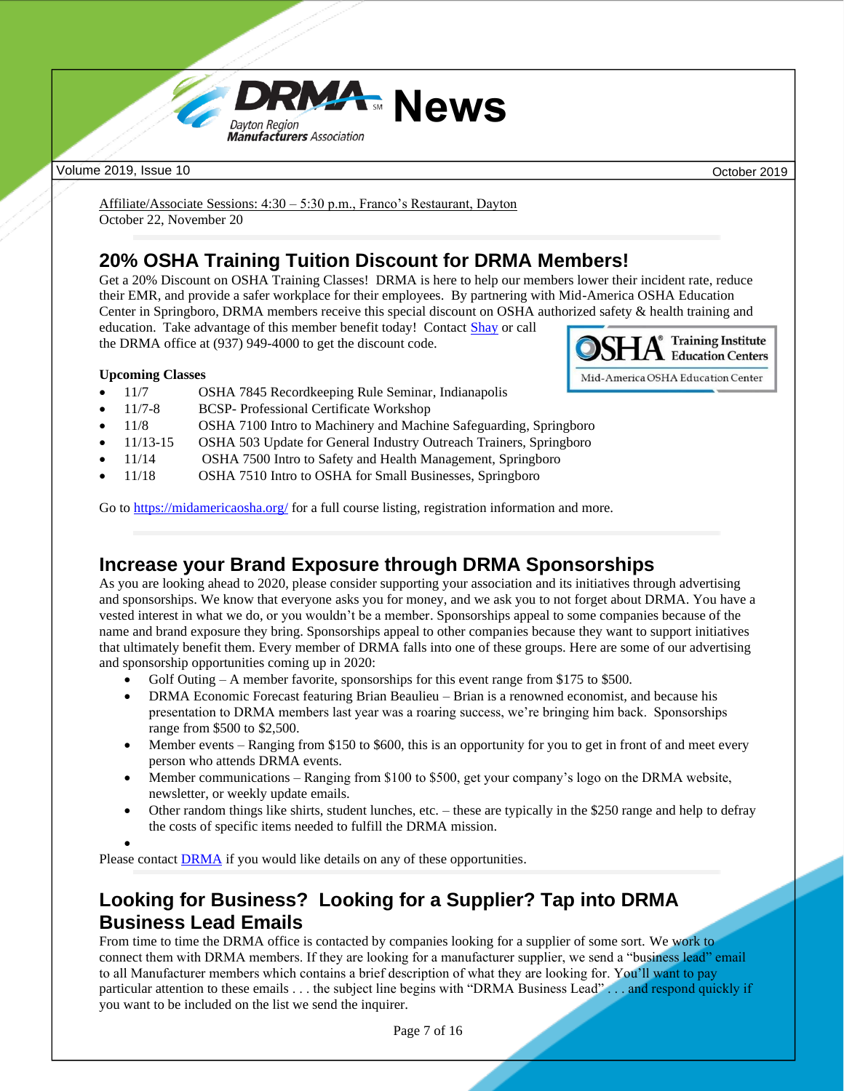

Affiliate/Associate Sessions: 4:30 – 5:30 p.m., Franco's Restaurant, Dayton October 22, November 20

## **20% OSHA Training Tuition Discount for DRMA Members!**

Get a 20% Discount on OSHA Training Classes! DRMA is here to help our members lower their incident rate, reduce their EMR, and provide a safer workplace for their employees. By partnering with Mid-America OSHA Education Center in Springboro, DRMA members receive this special discount on OSHA authorized safety & health training and

education. Take advantage of this member benefit today! Contact [Shay](mailto:sknoll@daytonrma.org?subject=OSHA%20Training%20Classes) or call the DRMA office at (937) 949-4000 to get the discount code.



#### **Upcoming Classes**

- 11/7 OSHA 7845 Recordkeeping Rule Seminar, Indianapolis
- 11/7-8 BCSP- Professional Certificate Workshop
- 11/8 OSHA 7100 Intro to Machinery and Machine Safeguarding, Springboro
- 11/13-15 OSHA 503 Update for General Industry Outreach Trainers, Springboro
- 11/14 OSHA 7500 Intro to Safety and Health Management, Springboro
- 11/18 OSHA 7510 Intro to OSHA for Small Businesses, Springboro

Go to<https://midamericaosha.org/> for a full course listing, registration information and more.

### <span id="page-6-0"></span>**Increase your Brand Exposure through DRMA Sponsorships**

As you are looking ahead to 2020, please consider supporting your association and its initiatives through advertising and sponsorships. We know that everyone asks you for money, and we ask you to not forget about DRMA. You have a vested interest in what we do, or you wouldn't be a member. Sponsorships appeal to some companies because of the name and brand exposure they bring. Sponsorships appeal to other companies because they want to support initiatives that ultimately benefit them. Every member of DRMA falls into one of these groups. Here are some of our advertising and sponsorship opportunities coming up in 2020:

- Golf Outing  $-A$  member favorite, sponsorships for this event range from \$175 to \$500.
- DRMA Economic Forecast featuring Brian Beaulieu Brian is a renowned economist, and because his presentation to DRMA members last year was a roaring success, we're bringing him back. Sponsorships range from \$500 to \$2,500.
- Member events Ranging from \$150 to \$600, this is an opportunity for you to get in front of and meet every person who attends DRMA events.
- Member communications Ranging from \$100 to \$500, get your company's logo on the DRMA website, newsletter, or weekly update emails.
- Other random things like shirts, student lunches, etc. these are typically in the \$250 range and help to defray the costs of specific items needed to fulfill the DRMA mission.

•

Please contact **DRMA** if you would like details on any of these opportunities.

### **Looking for Business? Looking for a Supplier? Tap into DRMA Business Lead Emails**

From time to time the DRMA office is contacted by companies looking for a supplier of some sort. We work to connect them with DRMA members. If they are looking for a manufacturer supplier, we send a "business lead" email to all Manufacturer members which contains a brief description of what they are looking for. You'll want to pay particular attention to these emails . . . the subject line begins with "DRMA Business Lead" . . . and respond quickly if you want to be included on the list we send the inquirer.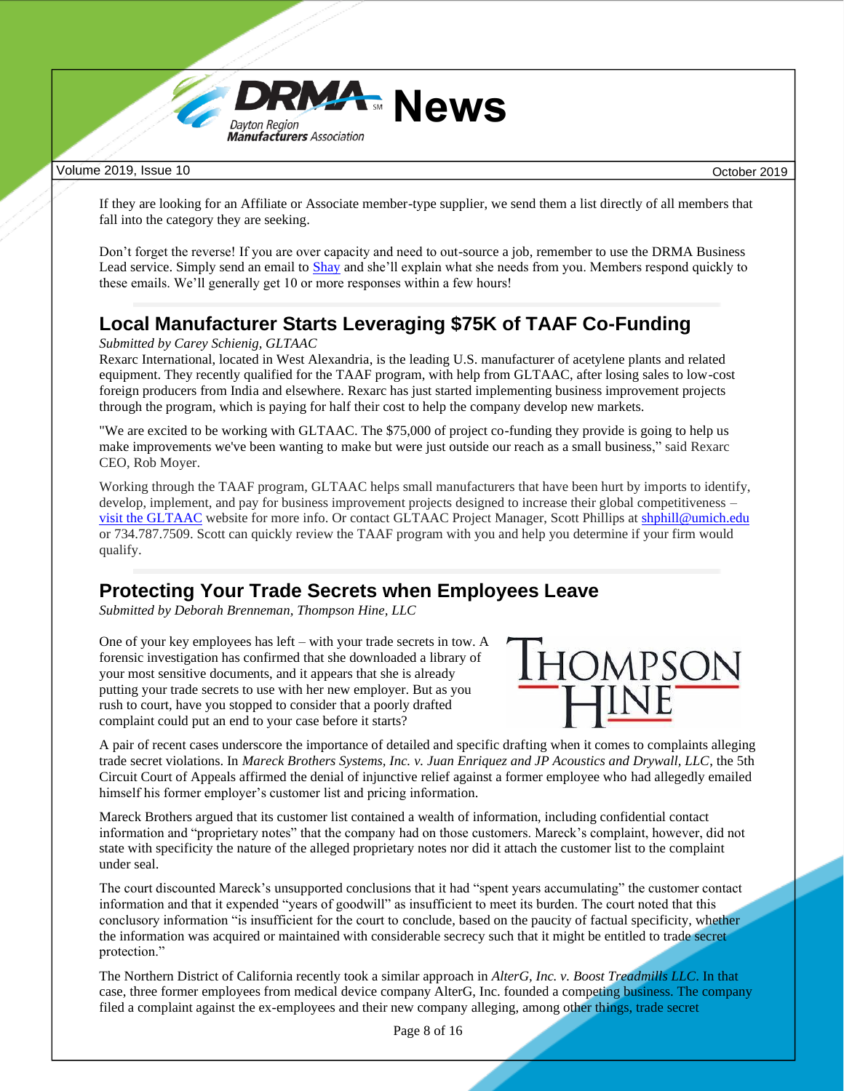

If they are looking for an Affiliate or Associate member-type supplier, we send them a list directly of all members that fall into the category they are seeking.

Don't forget the reverse! If you are over capacity and need to out-source a job, remember to use the DRMA Business Lead service. Simply send an email to [Shay](mailto:sknoll@daytonrma.org) and she'll explain what she needs from you. Members respond quickly to these emails. We'll generally get 10 or more responses within a few hours!

## **Local Manufacturer Starts Leveraging \$75K of TAAF Co-Funding**

*Submitted by Carey Schienig, GLTAAC*

Rexarc International, located in West Alexandria, is the leading U.S. manufacturer of acetylene plants and related equipment. They recently qualified for the TAAF program, with help from GLTAAC, after losing sales to low-cost foreign producers from India and elsewhere. Rexarc has just started implementing business improvement projects through the program, which is paying for half their cost to help the company develop new markets.

"We are excited to be working with GLTAAC. The \$75,000 of project co-funding they provide is going to help us make improvements we've been wanting to make but were just outside our reach as a small business," said Rexarc CEO, Rob Moyer.

Working through the TAAF program, GLTAAC helps small manufacturers that have been hurt by imports to identify, develop, implement, and pay for business improvement projects designed to increase their global competitiveness – [visit the GLTAAC](http://www.gltaac.org/) website for more info. Or contact GLTAAC Project Manager, Scott Phillips a[t shphill@umich.edu](mailto:shphill@umich.edu) or 734.787.7509. Scott can quickly review the TAAF program with you and help you determine if your firm would qualify.

### **Protecting Your Trade Secrets when Employees Leave**

*Submitted by Deborah Brenneman, Thompson Hine, LLC*

One of your key employees has left – with your trade secrets in tow. A forensic investigation has confirmed that she downloaded a library of your most sensitive documents, and it appears that she is already putting your trade secrets to use with her new employer. But as you rush to court, have you stopped to consider that a poorly drafted complaint could put an end to your case before it starts?



A pair of recent cases underscore the importance of detailed and specific drafting when it comes to complaints alleging trade secret violations. In *Mareck Brothers Systems, Inc. v. Juan Enriquez and JP Acoustics and Drywall, LLC*, the 5th Circuit Court of Appeals affirmed the denial of injunctive relief against a former employee who had allegedly emailed himself his former employer's customer list and pricing information.

Mareck Brothers argued that its customer list contained a wealth of information, including confidential contact information and "proprietary notes" that the company had on those customers. Mareck's complaint, however, did not state with specificity the nature of the alleged proprietary notes nor did it attach the customer list to the complaint under seal.

The court discounted Mareck's unsupported conclusions that it had "spent years accumulating" the customer contact information and that it expended "years of goodwill" as insufficient to meet its burden. The court noted that this conclusory information "is insufficient for the court to conclude, based on the paucity of factual specificity, whether the information was acquired or maintained with considerable secrecy such that it might be entitled to trade secret protection."

The Northern District of California recently took a similar approach in *AlterG, Inc. v. Boost Treadmills LLC*. In that case, three former employees from medical device company AlterG, Inc. founded a competing business. The company filed a complaint against the ex-employees and their new company alleging, among other things, trade secret

Page 8 of 16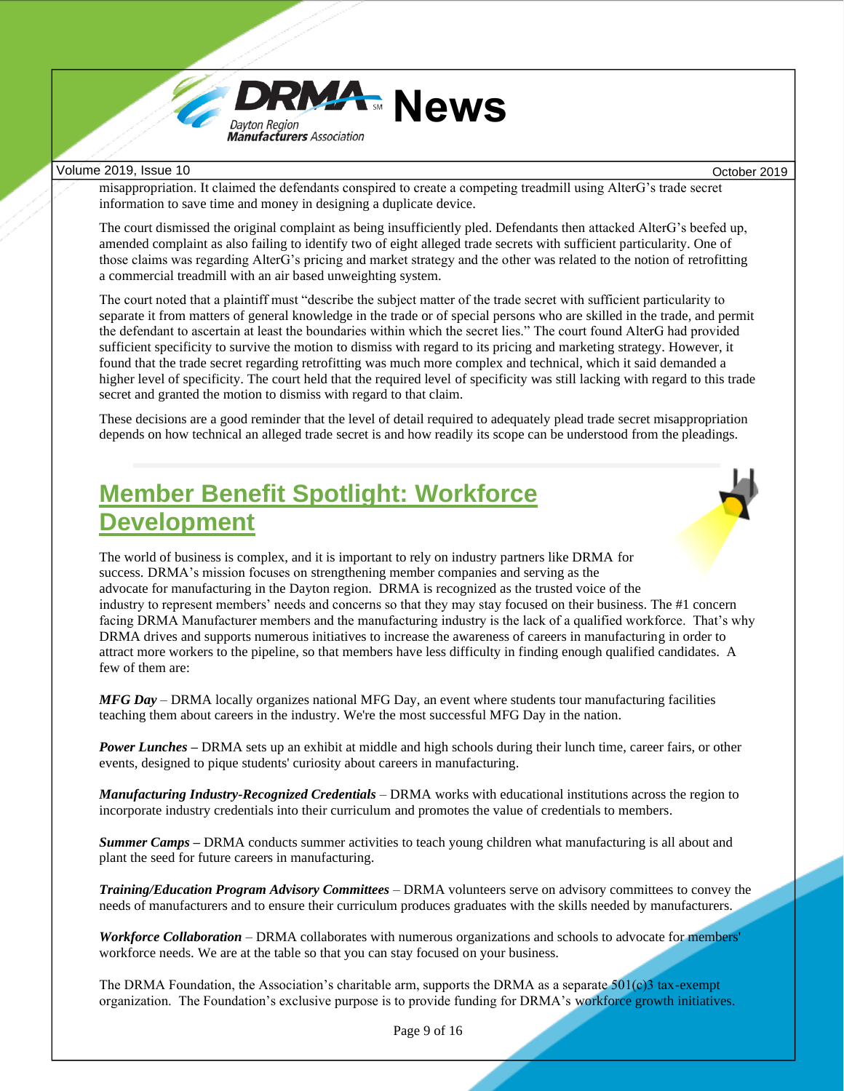

misappropriation. It claimed the defendants conspired to create a competing treadmill using AlterG's trade secret information to save time and money in designing a duplicate device.

The court dismissed the original complaint as being insufficiently pled. Defendants then attacked AlterG's beefed up, amended complaint as also failing to identify two of eight alleged trade secrets with sufficient particularity. One of those claims was regarding AlterG's pricing and market strategy and the other was related to the notion of retrofitting a commercial treadmill with an air based unweighting system.

The court noted that a plaintiff must "describe the subject matter of the trade secret with sufficient particularity to separate it from matters of general knowledge in the trade or of special persons who are skilled in the trade, and permit the defendant to ascertain at least the boundaries within which the secret lies." The court found AlterG had provided sufficient specificity to survive the motion to dismiss with regard to its pricing and marketing strategy. However, it found that the trade secret regarding retrofitting was much more complex and technical, which it said demanded a higher level of specificity. The court held that the required level of specificity was still lacking with regard to this trade secret and granted the motion to dismiss with regard to that claim.

These decisions are a good reminder that the level of detail required to adequately plead trade secret misappropriation depends on how technical an alleged trade secret is and how readily its scope can be understood from the pleadings.

# **Member Benefit Spotlight: Workforce Development**

<span id="page-8-0"></span>The world of business is complex, and it is important to rely on industry partners like DRMA for success. DRMA's mission focuses on strengthening member companies and serving as the advocate for manufacturing in the Dayton region. DRMA is recognized as the trusted voice of the industry to represent members' needs and concerns so that they may stay focused on their business. The #1 concern facing DRMA Manufacturer members and the manufacturing industry is the lack of a qualified workforce. That's why DRMA drives and supports numerous initiatives to increase the awareness of careers in manufacturing in order to attract more workers to the pipeline, so that members have less difficulty in finding enough qualified candidates. A few of them are:

*MFG Day* – DRMA locally organizes national MFG Day, an event where students tour manufacturing facilities teaching them about careers in the industry. We're the most successful MFG Day in the nation.

*Power Lunches –* DRMA sets up an exhibit at middle and high schools during their lunch time, career fairs, or other events, designed to pique students' curiosity about careers in manufacturing.

*Manufacturing Industry-Recognized Credentials* – DRMA works with educational institutions across the region to incorporate industry credentials into their curriculum and promotes the value of credentials to members.

*Summer Camps –* DRMA conducts summer activities to teach young children what manufacturing is all about and plant the seed for future careers in manufacturing.

*Training/Education Program Advisory Committees* – DRMA volunteers serve on advisory committees to convey the needs of manufacturers and to ensure their curriculum produces graduates with the skills needed by manufacturers.

*Workforce Collaboration* – DRMA collaborates with numerous organizations and schools to advocate for members' workforce needs. We are at the table so that you can stay focused on your business.

The DRMA Foundation, the Association's charitable arm, supports the DRMA as a separate  $501(c)3$  tax-exempt organization. The Foundation's exclusive purpose is to provide funding for DRMA's workforce growth initiatives.

Page 9 of 16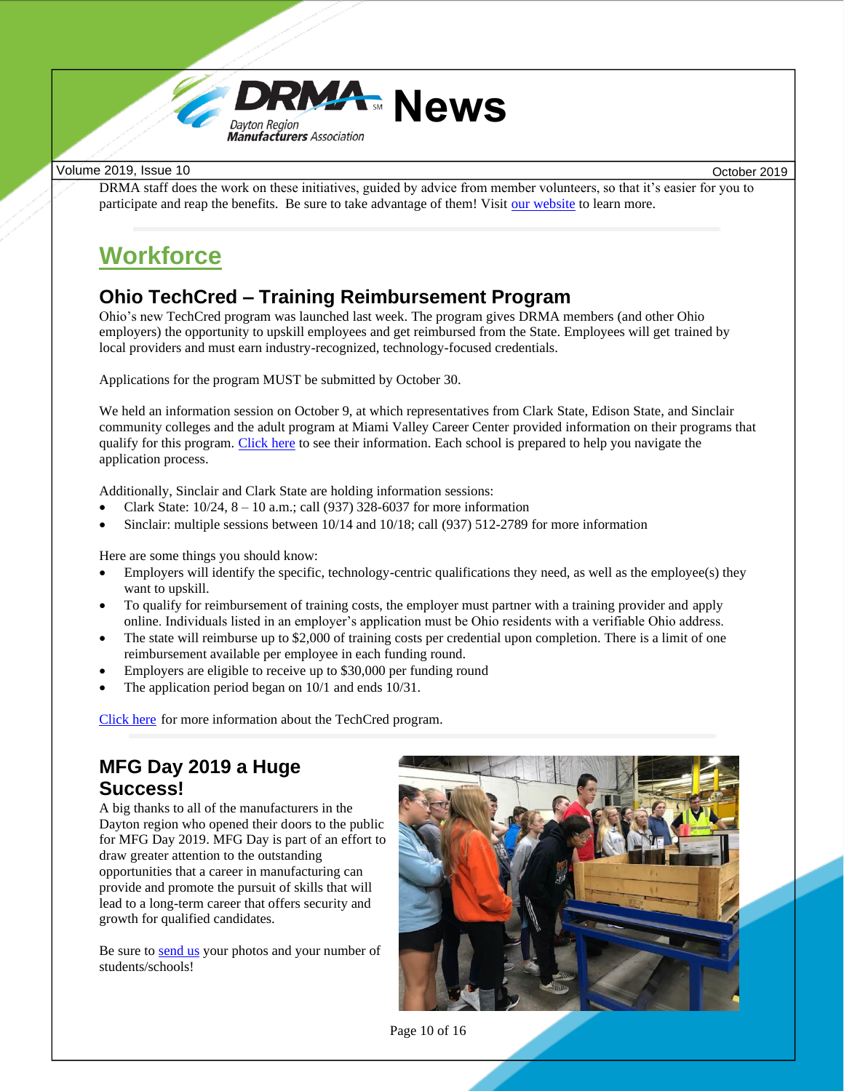

DRMA staff does the work on these initiatives, guided by advice from member volunteers, so that it's easier for you to participate and reap the benefits. Be sure to take advantage of them! Visit [our website](https://www.daytonrma.org/workforce-initiatives) to learn more.

# **Workforce**

### **Ohio TechCred – Training Reimbursement Program**

Ohio's new [TechCred program](http://ohiomfg.informz.net/z/cjUucD9taT0yNzQwODU2JnA9MSZ1PTM2MjExODc4NyZsaT0yMDQwNzgwNw/index.html) was launched last week. The program gives DRMA members (and other Ohio employers) the opportunity to upskill employees and get reimbursed from the State. Employees will get trained by local providers and must earn industry-recognized, technology-focused credentials.

Applications for the program MUST be submitted by October 30.

We held an information session on October 9, at which representatives from Clark State, Edison State, and Sinclair community colleges and the adult program at Miami Valley Career Center provided information on their programs that qualify for this program. [Click here](https://www.daytonrma.org/post/ohio-techcred-training-reimbursement-program) to see their information. Each school is prepared to help you navigate the application process.

Additionally, Sinclair and Clark State are holding information sessions:

- Clark State:  $10/24$ ,  $8 10$  a.m.; call (937) 328-6037 for more information
- Sinclair: multiple sessions between 10/14 and 10/18; call (937) 512-2789 for more information

Here are some things you should know:

- Employers will identify the specific, technology-centric qualifications they need, as well as the employee(s) they want to upskill.
- To qualify for reimbursement of training costs, the employer must partner with a training provider and [apply](http://ohiomfg.informz.net/z/cjUucD9taT0yNzQwODU2JnA9MSZ1PTM2MjExODc4NyZsaT0yMDQwNzgwOQ/index.html)  [online.](http://ohiomfg.informz.net/z/cjUucD9taT0yNzQwODU2JnA9MSZ1PTM2MjExODc4NyZsaT0yMDQwNzgwOQ/index.html) Individuals listed in an employer's application must be Ohio residents with a verifiable Ohio address.
- The state will reimburse up to \$2,000 of training costs per credential upon completion. There is a limit of one reimbursement available per employee in each funding round.
- Employers are eligible to receive up to \$30,000 per funding round
- The application period began on 10/1 and ends 10/31.

[Click here](https://techcred.ohio.gov/wps/portal/gov/techcred) for more information about the TechCred program.

### **MFG Day 2019 a Huge Success!**

A big thanks to all of the manufacturers in the Dayton region who opened their doors to the public for MFG Day 2019. MFG Day is part of an effort to draw greater attention to the outstanding opportunities that a career in manufacturing can provide and promote the pursuit of skills that will lead to a long-term career that offers security and growth for qualified candidates.

Be sure to **send us** your photos and your number of students/schools!



Page 10 of 16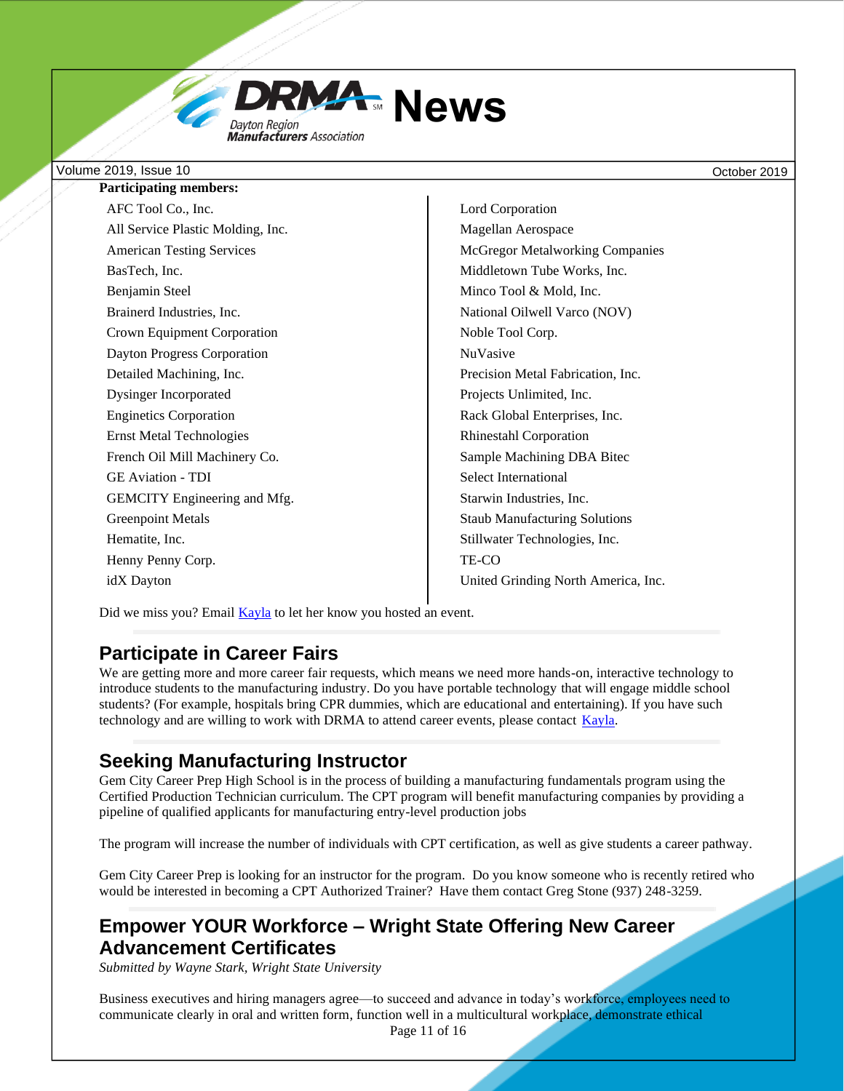

| <b>Participating members:</b>     |                                      |
|-----------------------------------|--------------------------------------|
| AFC Tool Co., Inc.                | Lord Corporation                     |
| All Service Plastic Molding, Inc. | Magellan Aerospace                   |
| <b>American Testing Services</b>  | McGregor Metalworking Companies      |
| BasTech, Inc.                     | Middletown Tube Works, Inc.          |
| Benjamin Steel                    | Minco Tool & Mold, Inc.              |
| Brainerd Industries, Inc.         | National Oilwell Varco (NOV)         |
| Crown Equipment Corporation       | Noble Tool Corp.                     |
| Dayton Progress Corporation       | <b>NuVasive</b>                      |
| Detailed Machining, Inc.          | Precision Metal Fabrication, Inc.    |
| Dysinger Incorporated             | Projects Unlimited, Inc.             |
| <b>Enginetics Corporation</b>     | Rack Global Enterprises, Inc.        |
| <b>Ernst Metal Technologies</b>   | <b>Rhinestahl Corporation</b>        |
| French Oil Mill Machinery Co.     | Sample Machining DBA Bitec           |
| <b>GE Aviation - TDI</b>          | Select International                 |
| GEMCITY Engineering and Mfg.      | Starwin Industries, Inc.             |
| <b>Greenpoint Metals</b>          | <b>Staub Manufacturing Solutions</b> |
| Hematite, Inc.                    | Stillwater Technologies, Inc.        |
| Henny Penny Corp.                 | TE-CO                                |
| idX Dayton                        | United Grinding North America, Inc.  |
|                                   |                                      |

Did we miss you? Email **Kayla** to let her know you hosted an event.

### <span id="page-10-0"></span>**Participate in Career Fairs**

We are getting more and more career fair requests, which means we need more hands-on, interactive technology to introduce students to the manufacturing industry. Do you have portable technology that will engage middle school students? (For example, hospitals bring CPR dummies, which are educational and entertaining). If you have such technology and are willing to work with DRMA to attend career events, please contact [Kayla.](mailto:kmanuel@daytonrma.org)

### **Seeking Manufacturing Instructor**

Gem City Career Prep High School is in the process of building a manufacturing fundamentals program using the Certified Production Technician curriculum. The CPT program will benefit manufacturing companies by providing a pipeline of qualified applicants for manufacturing entry-level production jobs

The program will increase the number of individuals with CPT certification, as well as give students a career pathway.

Gem City Career Prep is looking for an instructor for the program. Do you know someone who is recently retired who would be interested in becoming a CPT Authorized Trainer? Have them contact Greg Stone (937) 248-3259.

### **Empower YOUR Workforce – Wright State Offering New Career Advancement Certificates**

*Submitted by Wayne Stark, Wright State University* 

Page 11 of 16 Business executives and hiring managers agree—to succeed and advance in today's workforce, employees need to communicate clearly in oral and written form, function well in a multicultural workplace, demonstrate ethical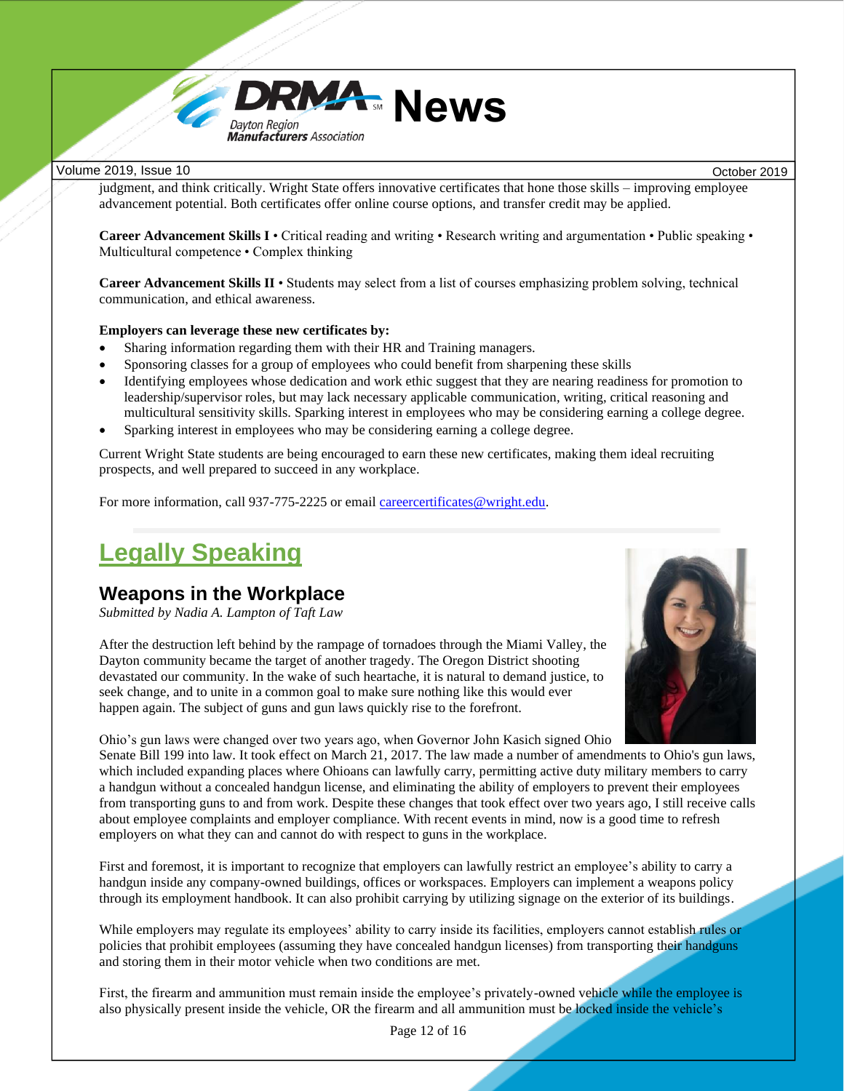

judgment, and think critically. Wright State offers innovative certificates that hone those skills – improving employee advancement potential. Both certificates offer online course options, and transfer credit may be applied.

**Career Advancement Skills I** • Critical reading and writing • Research writing and argumentation • Public speaking • Multicultural competence • Complex thinking

**Career Advancement Skills II** • Students may select from a list of courses emphasizing problem solving, technical communication, and ethical awareness.

#### **Employers can leverage these new certificates by:**

- Sharing information regarding them with their HR and Training managers.
- Sponsoring classes for a group of employees who could benefit from sharpening these skills
- Identifying employees whose dedication and work ethic suggest that they are nearing readiness for promotion to leadership/supervisor roles, but may lack necessary applicable communication, writing, critical reasoning and multicultural sensitivity skills. Sparking interest in employees who may be considering earning a college degree.
- Sparking interest in employees who may be considering earning a college degree.

Current Wright State students are being encouraged to earn these new certificates, making them ideal recruiting prospects, and well prepared to succeed in any workplace.

For more information, call 937-775-2225 or email [careercertificates@wright.edu.](mailto:careercertificates@wright.edu)

# **Legally Speaking**

### **Weapons in the Workplace**

*Submitted by Nadia A. Lampton of Taft Law*



After the destruction left behind by the rampage of tornadoes through the Miami Valley, the Dayton community became the target of another tragedy. The Oregon District shooting devastated our community. In the wake of such heartache, it is natural to demand justice, to seek change, and to unite in a common goal to make sure nothing like this would ever happen again. The subject of guns and gun laws quickly rise to the forefront.

Ohio's gun laws were changed over two years ago, when Governor John Kasich signed Ohio Senate Bill 199 into law. It took effect on March 21, 2017. The law made a number of amendments to Ohio's gun laws, which included expanding places where Ohioans can lawfully carry, permitting active duty military members to carry a handgun without a concealed handgun license, and eliminating the ability of employers to prevent their employees from transporting guns to and from work. Despite these changes that took effect over two years ago, I still receive calls about employee complaints and employer compliance. With recent events in mind, now is a good time to refresh employers on what they can and cannot do with respect to guns in the workplace.

First and foremost, it is important to recognize that employers can lawfully restrict an employee's ability to carry a handgun inside any company-owned buildings, offices or workspaces. Employers can implement a weapons policy through its employment handbook. It can also prohibit carrying by utilizing signage on the exterior of its buildings.

While employers may regulate its employees' ability to carry inside its facilities, employers cannot establish rules or policies that prohibit employees (assuming they have concealed handgun licenses) from transporting their handguns and storing them in their motor vehicle when two conditions are met.

First, the firearm and ammunition must remain inside the employee's privately-owned vehicle while the employee is also physically present inside the vehicle, OR the firearm and all ammunition must be locked inside the vehicle's

Page 12 of 16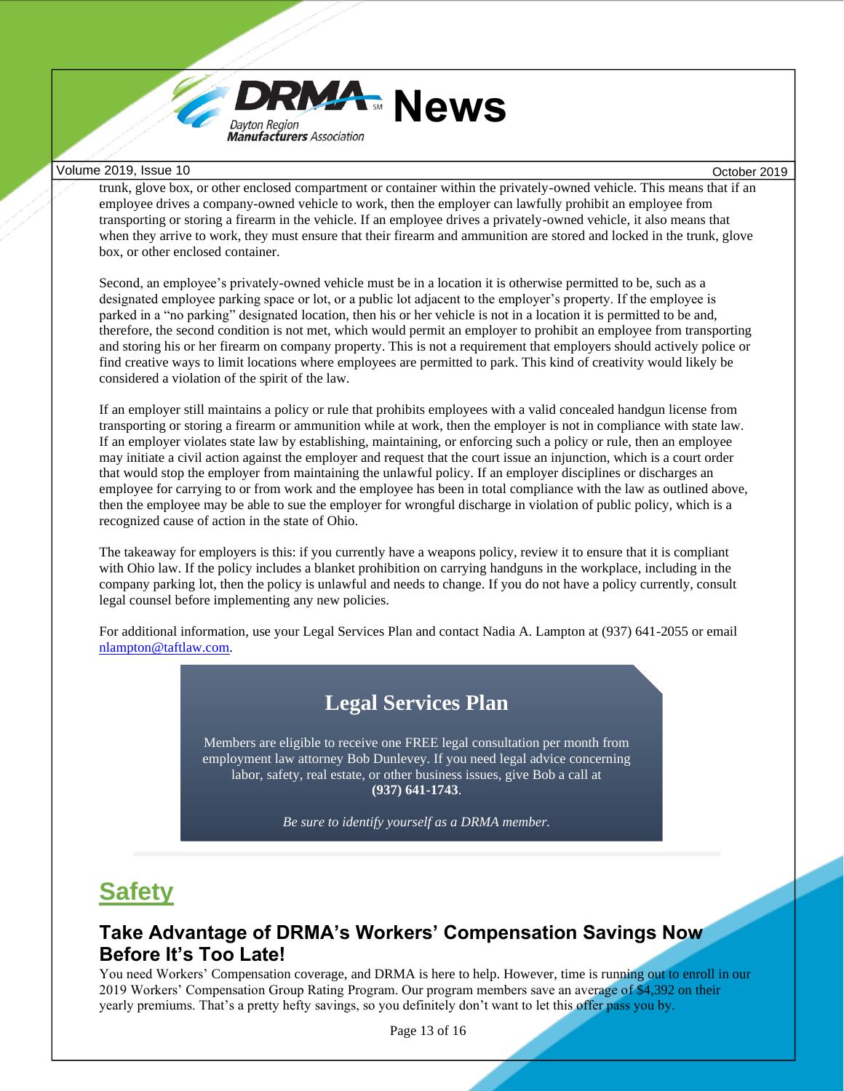

trunk, glove box, or other enclosed compartment or container within the privately-owned vehicle. This means that if an employee drives a company-owned vehicle to work, then the employer can lawfully prohibit an employee from transporting or storing a firearm in the vehicle. If an employee drives a privately-owned vehicle, it also means that when they arrive to work, they must ensure that their firearm and ammunition are stored and locked in the trunk, glove box, or other enclosed container.

Second, an employee's privately-owned vehicle must be in a location it is otherwise permitted to be, such as a designated employee parking space or lot, or a public lot adjacent to the employer's property. If the employee is parked in a "no parking" designated location, then his or her vehicle is not in a location it is permitted to be and, therefore, the second condition is not met, which would permit an employer to prohibit an employee from transporting and storing his or her firearm on company property. This is not a requirement that employers should actively police or find creative ways to limit locations where employees are permitted to park. This kind of creativity would likely be considered a violation of the spirit of the law.

If an employer still maintains a policy or rule that prohibits employees with a valid concealed handgun license from transporting or storing a firearm or ammunition while at work, then the employer is not in compliance with state law. If an employer violates state law by establishing, maintaining, or enforcing such a policy or rule, then an employee may initiate a civil action against the employer and request that the court issue an injunction, which is a court order that would stop the employer from maintaining the unlawful policy. If an employer disciplines or discharges an employee for carrying to or from work and the employee has been in total compliance with the law as outlined above, then the employee may be able to sue the employer for wrongful discharge in violation of public policy, which is a recognized cause of action in the state of Ohio.

The takeaway for employers is this: if you currently have a weapons policy, review it to ensure that it is compliant with Ohio law. If the policy includes a blanket prohibition on carrying handguns in the workplace, including in the company parking lot, then the policy is unlawful and needs to change. If you do not have a policy currently, consult legal counsel before implementing any new policies.

For additional information, use your Legal Services Plan and contact Nadia A. Lampton at (937) 641-2055 or email [nlampton@taftlaw.com.](mailto:nlampton@taftlaw.com)

### **Legal Services Plan**

Members are eligible to receive one FREE legal consultation per month from employment law attorney Bob Dunlevey. If you need legal advice concerning labor, safety, real estate, or other business issues, give Bob a call at **(937) 641-1743**.

*Be sure to identify yourself as a DRMA member.*

# **Safety**

### **Take Advantage of DRMA's Workers' Compensation Savings Now Before It's Too Late!**

You need Workers' Compensation coverage, and DRMA is here to help. However, time is running out to enroll in our 2019 Workers' Compensation Group Rating Program. Our program members save an average of \$4,392 on their yearly premiums. That's a pretty hefty savings, so you definitely don't want to let this offer pass you by.

Page 13 of 16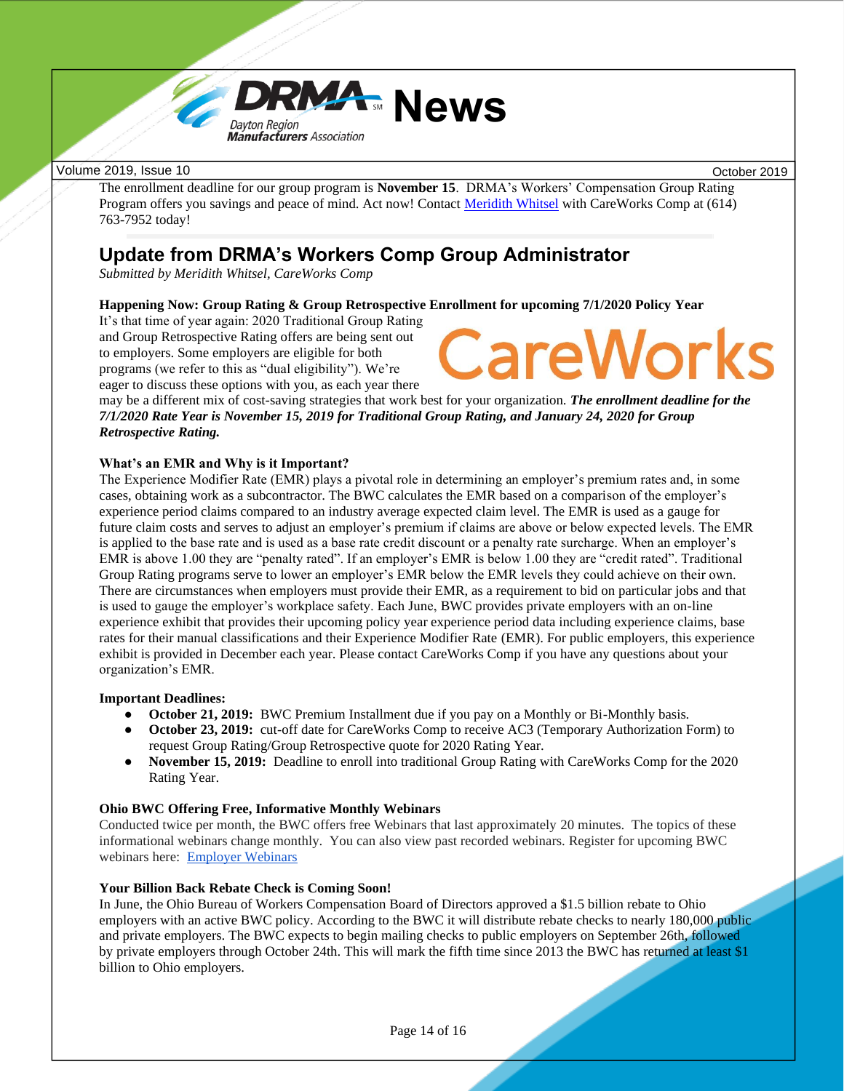

The enrollment deadline for our group program is **November 15**. DRMA's Workers' Compensation Group Rating Program offers you savings and peace of mind. Act now! Contact [Meridith Whitsel](mailto:meridith.whitsel@careworkscomp.com?subject=DRMA%20Workers%20Comp%20Group) with CareWorks Comp at (614) 763-7952 today!

### **Update from DRMA's Workers Comp Group Administrator**

*Submitted by Meridith Whitsel, CareWorks Comp*

#### **Happening Now: Group Rating & Group Retrospective Enrollment for upcoming 7/1/2020 Policy Year**

It's that time of year again: 2020 Traditional Group Rating and Group Retrospective Rating offers are being sent out to employers. Some employers are eligible for both programs (we refer to this as "dual eligibility"). We're eager to discuss these options with you, as each year there



may be a different mix of cost-saving strategies that work best for your organization. *The enrollment deadline for the 7/1/2020 Rate Year is November 15, 2019 for Traditional Group Rating, and January 24, 2020 for Group Retrospective Rating.* 

#### **What's an EMR and Why is it Important?**

The Experience Modifier Rate (EMR) plays a pivotal role in determining an employer's premium rates and, in some cases, obtaining work as a subcontractor. The BWC calculates the EMR based on a comparison of the employer's experience period claims compared to an industry average expected claim level. The EMR is used as a gauge for future claim costs and serves to adjust an employer's premium if claims are above or below expected levels. The EMR is applied to the base rate and is used as a base rate credit discount or a penalty rate surcharge. When an employer's EMR is above 1.00 they are "penalty rated". If an employer's EMR is below 1.00 they are "credit rated". Traditional Group Rating programs serve to lower an employer's EMR below the EMR levels they could achieve on their own. There are circumstances when employers must provide their EMR, as a requirement to bid on particular jobs and that is used to gauge the employer's workplace safety. Each June, BWC provides private employers with an on-line experience exhibit that provides their upcoming policy year experience period data including experience claims, base rates for their manual classifications and their Experience Modifier Rate (EMR). For public employers, this experience exhibit is provided in December each year. Please contact CareWorks Comp if you have any questions about your organization's EMR.

#### **Important Deadlines:**

- **October 21, 2019:** BWC Premium Installment due if you pay on a Monthly or Bi-Monthly basis.
- **October 23, 2019:** cut-off date for CareWorks Comp to receive AC3 (Temporary Authorization Form) to request Group Rating/Group Retrospective quote for 2020 Rating Year.
- **November 15, 2019:** Deadline to enroll into traditional Group Rating with CareWorks Comp for the 2020 Rating Year.

#### **Ohio BWC Offering Free, Informative Monthly Webinars**

Conducted twice per month, the BWC offers free Webinars that last approximately 20 minutes. The topics of these informational webinars change monthly. You can also view past recorded webinars. Register for upcoming BWC webinars here: [Employer Webinars](https://info.bwc.ohio.gov/wps/portal/bwc/site/employer/maintaining-a-policy/employer-webinars/!ut/p/z1/rVLLTsMwEPwVOOSYevNs4BYQtEBDVUFp4gtyUjdxldjBMQnl63EFEkLQpggs-eD17uzMziKMYoQ5aVlOFBOclPqdYP9xejIZja9cuIUb34bw4fzMdWcOQGChxdeEwA6GEF56V3eT0Wzq3bsIH1IPO04Ih9XvScD74R8QRjjjqlYFStIuO8oEV5SrI8rzkjWFATpoAK3qUmyoNKAijCt9Gc9NYtaiZNnm89_saMo4kc0Wts7YEiXEWvqwsgMztZ2l6XpkaBJ76ZtWahPLI5aV-gG67tOpjbBldB7lGpaowmR8JVD8ExkUfyejq9n66QmHWutW34tC8X-KXWzl9uxBnxN6BHkp0velC3nqBFqrpCsqqRw8Sx0ulKqbUwMM2KofaK4DUTAxyEVrQFc3BtRCKlJ-yGiYop9kf0ItRKMH8Q0MJXqphjvdmPpo0TLaoTkXstJ8735p9hj6Onh_7NADP_wjfF3N5_MqcLxyvXFg7ZXtZBVdOG5y3b6eReHxG1eq6sw!/dz/d5/L2dBISEvZ0FBIS9nQSEh/)

#### **Your Billion Back Rebate Check is Coming Soon!**

In June, the Ohio Bureau of Workers Compensation Board of Directors approved a \$1.5 billion rebate to Ohio employers with an active BWC policy. According to the BWC it will distribute rebate checks to nearly 180,000 public and private employers. The BWC expects to begin mailing checks to public employers on September 26th, followed by private employers through October 24th. This will mark the fifth time since 2013 the BWC has returned at least \$1 billion to Ohio employers.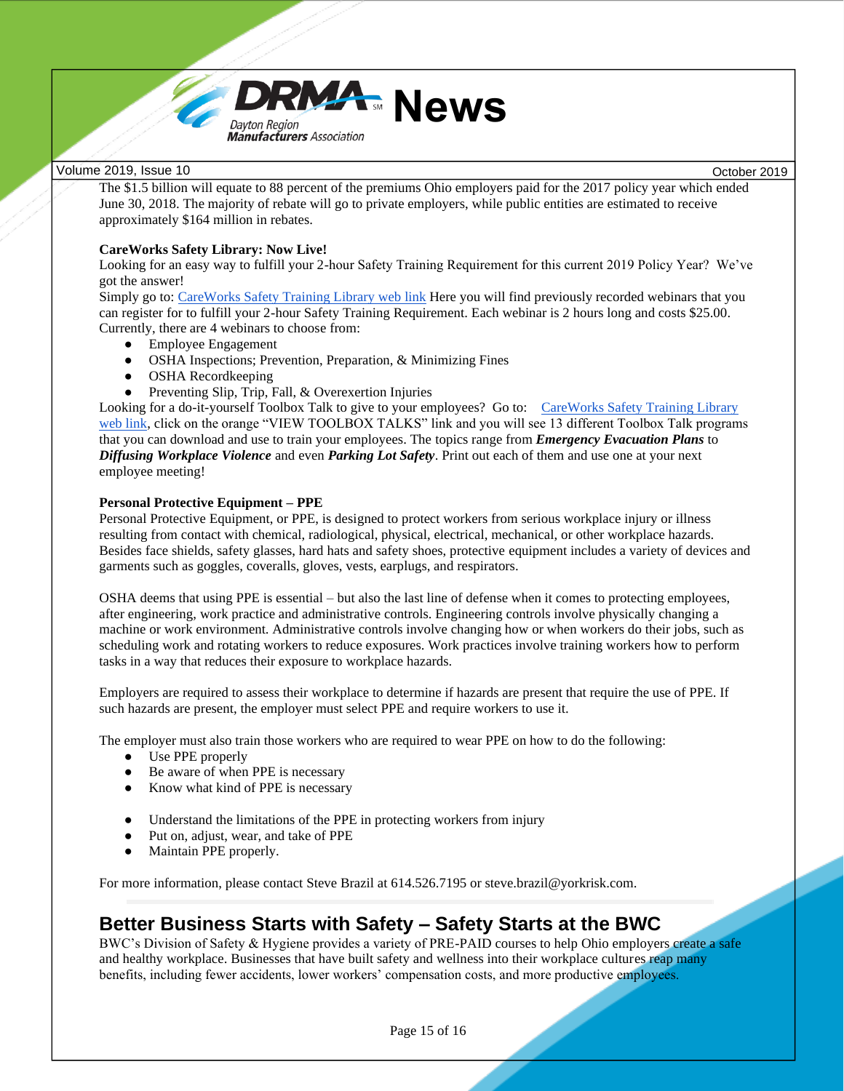

The \$1.5 billion will equate to 88 percent of the premiums Ohio employers paid for the 2017 policy year which ended June 30, 2018. The majority of rebate will go to private employers, while public entities are estimated to receive approximately \$164 million in rebates.

#### **CareWorks Safety Library: Now Live!**

Looking for an easy way to fulfill your 2-hour Safety Training Requirement for this current 2019 Policy Year? We've got the answer!

Simply go to: [CareWorks Safety Training Library web link](https://www.careworks.com/state-fund-tpa/training/) Here you will find previously recorded webinars that you can register for to fulfill your 2-hour Safety Training Requirement. Each webinar is 2 hours long and costs \$25.00. Currently, there are 4 webinars to choose from:

- **Employee Engagement**
- OSHA Inspections; Prevention, Preparation, & Minimizing Fines
- OSHA Recordkeeping
- Preventing Slip, Trip, Fall, & Overexertion Injuries

Looking for a do-it-yourself Toolbox Talk to give to your employees? Go to: [CareWorks Safety Training Library](https://www.careworks.com/state-fund-tpa/training/)  [web link,](https://www.careworks.com/state-fund-tpa/training/) click on the orange "VIEW TOOLBOX TALKS" link and you will see 13 different Toolbox Talk programs that you can download and use to train your employees. The topics range from *Emergency Evacuation Plans* to *Diffusing Workplace Violence* and even *Parking Lot Safety*. Print out each of them and use one at your next employee meeting!

#### **Personal Protective Equipment – PPE**

Personal Protective Equipment, or PPE, is designed to protect workers from serious workplace injury or illness resulting from contact with chemical, radiological, physical, electrical, mechanical, or other workplace hazards. Besides face shields, safety glasses, hard hats and safety shoes, protective equipment includes a variety of devices and garments such as goggles, coveralls, gloves, vests, earplugs, and respirators.

OSHA deems that using PPE is essential – but also the last line of defense when it comes to protecting employees, after engineering, work practice and administrative controls. Engineering controls involve physically changing a machine or work environment. Administrative controls involve changing how or when workers do their jobs, such as scheduling work and rotating workers to reduce exposures. Work practices involve training workers how to perform tasks in a way that reduces their exposure to workplace hazards.

Employers are required to assess their workplace to determine if hazards are present that require the use of PPE. If such hazards are present, the employer must select PPE and require workers to use it.

The employer must also train those workers who are required to wear PPE on how to do the following:

- Use PPE properly
- Be aware of when PPE is necessary
- Know what kind of PPE is necessary
- Understand the limitations of the PPE in protecting workers from injury
- Put on, adjust, wear, and take of PPE
- Maintain PPE properly.

For more information, please contact Steve Brazil at 614.526.7195 or steve.brazil@yorkrisk.com.

### **Better Business Starts with Safety – Safety Starts at the BWC**

BWC's Division of Safety & Hygiene provides a variety of PRE-PAID courses to help Ohio employers create a safe and healthy workplace. Businesses that have built safety and wellness into their workplace cultures reap many benefits, including fewer accidents, lower workers' compensation costs, and more productive employees.